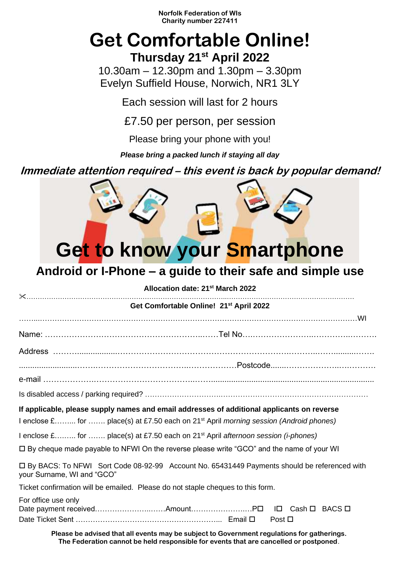**Norfolk Federation of WIs Charity number 227411**

## **Get Comfortable Online! Thursday 21st April 2022**

10.30am – 12.30pm and 1.30pm – 3.30pm Evelyn Suffield House, Norwich, NR1 3LY

Each session will last for 2 hours

£7.50 per person, per session

Please bring your phone with you!

*Please bring a packed lunch if staying all day*

**Immediate attention required – this event is back by popular demand!**

## **Get to know your Smartphone**

## **Android or I-Phone – a guide to their safe and simple use**

| Allocation date: 21 <sup>st</sup> March 2022                                                                                |  |
|-----------------------------------------------------------------------------------------------------------------------------|--|
| Get Comfortable Online! 21 <sup>st</sup> April 2022                                                                         |  |
|                                                                                                                             |  |
| Name: ………………………………………………………………Tel No……………………………………………                                                                       |  |
|                                                                                                                             |  |
|                                                                                                                             |  |
|                                                                                                                             |  |
|                                                                                                                             |  |
| If applicable, please supply names and email addresses of additional applicants on reverse                                  |  |
| I enclose £ for  place(s) at £7.50 each on 21 <sup>st</sup> April morning session (Android phones)                          |  |
| 1 enclose $\pounds$ for  place(s) at £7.50 each on 21 <sup>st</sup> April <i>afternoon session (i-phones)</i>               |  |
| □ By cheque made payable to NFWI On the reverse please write "GCO" and the name of your WI                                  |  |
| □ By BACS: To NFWI Sort Code 08-92-99 Account No. 65431449 Payments should be referenced with<br>your Surname, WI and "GCO" |  |
| Ticket confirmation will be emailed. Please do not staple cheques to this form.                                             |  |
| For office use only<br>Date payment receivedAmountP□ I□ Cash □ BACS □<br>Post $\Box$                                        |  |

**Please be advised that all events may be subject to Government regulations for gatherings. The Federation cannot be held responsible for events that are cancelled or postponed**.